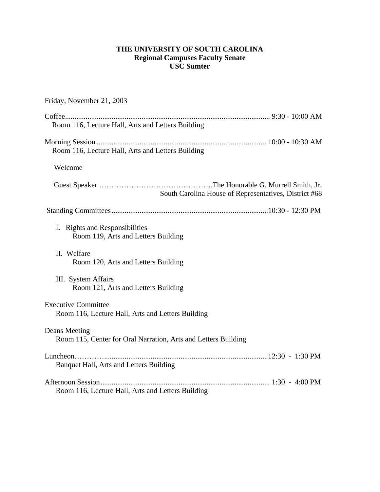# **THE UNIVERSITY OF SOUTH CAROLINA Regional Campuses Faculty Senate USC Sumter**

# Friday, November 21, 2003

| Room 116, Lecture Hall, Arts and Letters Building                               |
|---------------------------------------------------------------------------------|
|                                                                                 |
| Room 116, Lecture Hall, Arts and Letters Building                               |
| Welcome                                                                         |
| South Carolina House of Representatives, District #68                           |
|                                                                                 |
| I. Rights and Responsibilities<br>Room 119, Arts and Letters Building           |
| II. Welfare<br>Room 120, Arts and Letters Building                              |
| III. System Affairs<br>Room 121, Arts and Letters Building                      |
| <b>Executive Committee</b><br>Room 116, Lecture Hall, Arts and Letters Building |
| Deans Meeting<br>Room 115, Center for Oral Narration, Arts and Letters Building |
| Banquet Hall, Arts and Letters Building                                         |
| Room 116, Lecture Hall, Arts and Letters Building                               |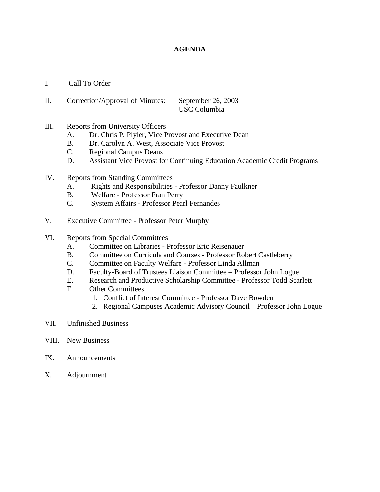# **AGENDA**

- I. Call To Order
- II. Correction/Approval of Minutes: September 26, 2003 USC Columbia
- III. Reports from University Officers
	- A. Dr. Chris P. Plyler, Vice Provost and Executive Dean
	- B. Dr. Carolyn A. West, Associate Vice Provost
	- C. Regional Campus Deans
	- D. Assistant Vice Provost for Continuing Education Academic Credit Programs
- IV. Reports from Standing Committees
	- A. Rights and Responsibilities Professor Danny Faulkner
	- B. Welfare Professor Fran Perry
	- C. System Affairs Professor Pearl Fernandes
- V. Executive Committee Professor Peter Murphy
- VI. Reports from Special Committees
	- A. Committee on Libraries Professor Eric Reisenauer
	- B. Committee on Curricula and Courses Professor Robert Castleberry
	- C. Committee on Faculty Welfare Professor Linda Allman
	- D. Faculty-Board of Trustees Liaison Committee Professor John Logue
	- E. Research and Productive Scholarship Committee Professor Todd Scarlett
	- F. Other Committees
		- 1. Conflict of Interest Committee Professor Dave Bowden
		- 2. Regional Campuses Academic Advisory Council Professor John Logue
- VII. Unfinished Business
- VIII. New Business
- IX. Announcements
- X. Adjournment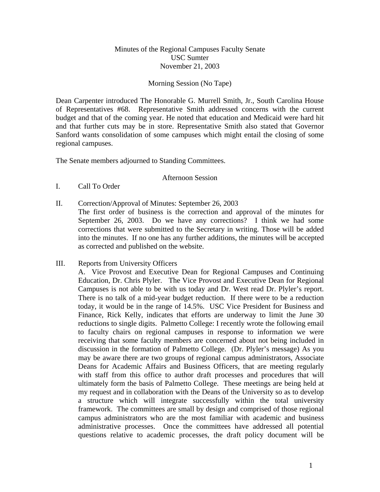# Minutes of the Regional Campuses Faculty Senate USC Sumter November 21, 2003

## Morning Session (No Tape)

Dean Carpenter introduced The Honorable G. Murrell Smith, Jr., South Carolina House of Representatives #68. Representative Smith addressed concerns with the current budget and that of the coming year. He noted that education and Medicaid were hard hit and that further cuts may be in store. Representative Smith also stated that Governor Sanford wants consolidation of some campuses which might entail the closing of some regional campuses.

The Senate members adjourned to Standing Committees.

## Afternoon Session

- I. Call To Order
- II. Correction/Approval of Minutes: September 26, 2003

The first order of business is the correction and approval of the minutes for September 26, 2003. Do we have any corrections? I think we had some corrections that were submitted to the Secretary in writing. Those will be added into the minutes. If no one has any further additions, the minutes will be accepted as corrected and published on the website.

# III. Reports from University Officers

A. Vice Provost and Executive Dean for Regional Campuses and Continuing Education, Dr. Chris Plyler. The Vice Provost and Executive Dean for Regional Campuses is not able to be with us today and Dr. West read Dr. Plyler's report. There is no talk of a mid-year budget reduction. If there were to be a reduction today, it would be in the range of 14.5%. USC Vice President for Business and Finance, Rick Kelly, indicates that efforts are underway to limit the June 30 reductions to single digits. Palmetto College: I recently wrote the following email to faculty chairs on regional campuses in response to information we were receiving that some faculty members are concerned about not being included in discussion in the formation of Palmetto College. (Dr. Plyler's message) As you may be aware there are two groups of regional campus administrators, Associate Deans for Academic Affairs and Business Officers, that are meeting regularly with staff from this office to author draft processes and procedures that will ultimately form the basis of Palmetto College. These meetings are being held at my request and in collaboration with the Deans of the University so as to develop a structure which will integrate successfully within the total university framework. The committees are small by design and comprised of those regional campus administrators who are the most familiar with academic and business administrative processes. Once the committees have addressed all potential questions relative to academic processes, the draft policy document will be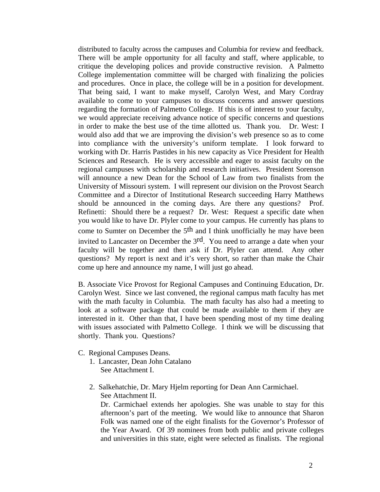distributed to faculty across the campuses and Columbia for review and feedback. There will be ample opportunity for all faculty and staff, where applicable, to critique the developing polices and provide constructive revision. A Palmetto College implementation committee will be charged with finalizing the policies and procedures. Once in place, the college will be in a position for development. That being said, I want to make myself, Carolyn West, and Mary Cordray available to come to your campuses to discuss concerns and answer questions regarding the formation of Palmetto College. If this is of interest to your faculty, we would appreciate receiving advance notice of specific concerns and questions in order to make the best use of the time allotted us. Thank you. Dr. West: I would also add that we are improving the division's web presence so as to come into compliance with the university's uniform template. I look forward to working with Dr. Harris Pastides in his new capacity as Vice President for Health Sciences and Research. He is very accessible and eager to assist faculty on the regional campuses with scholarship and research initiatives. President Sorenson will announce a new Dean for the School of Law from two finalists from the University of Missouri system. I will represent our division on the Provost Search Committee and a Director of Institutional Research succeeding Harry Matthews should be announced in the coming days. Are there any questions? Prof. Refinetti: Should there be a request? Dr. West: Request a specific date when you would like to have Dr. Plyler come to your campus. He currently has plans to come to Sumter on December the 5th and I think unofficially he may have been invited to Lancaster on December the 3rd. You need to arrange a date when your faculty will be together and then ask if Dr. Plyler can attend. Any other questions? My report is next and it's very short, so rather than make the Chair come up here and announce my name, I will just go ahead.

B. Associate Vice Provost for Regional Campuses and Continuing Education, Dr. Carolyn West. Since we last convened, the regional campus math faculty has met with the math faculty in Columbia. The math faculty has also had a meeting to look at a software package that could be made available to them if they are interested in it. Other than that, I have been spending most of my time dealing with issues associated with Palmetto College. I think we will be discussing that shortly. Thank you. Questions?

- C. Regional Campuses Deans.
	- 1. Lancaster, Dean John Catalano See Attachment I.
	- 2. Salkehatchie, Dr. Mary Hjelm reporting for Dean Ann Carmichael. See Attachment II.

Dr. Carmichael extends her apologies. She was unable to stay for this afternoon's part of the meeting. We would like to announce that Sharon Folk was named one of the eight finalists for the Governor's Professor of the Year Award. Of 39 nominees from both public and private colleges and universities in this state, eight were selected as finalists. The regional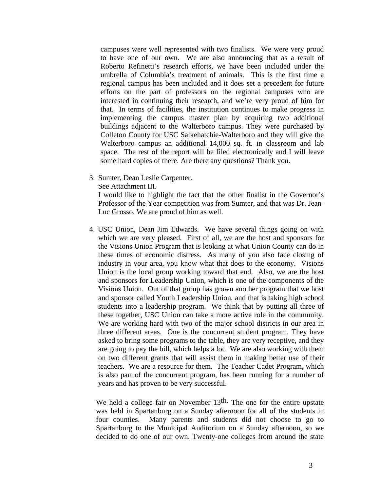campuses were well represented with two finalists. We were very proud to have one of our own. We are also announcing that as a result of Roberto Refinetti's research efforts, we have been included under the umbrella of Columbia's treatment of animals. This is the first time a regional campus has been included and it does set a precedent for future efforts on the part of professors on the regional campuses who are interested in continuing their research, and we're very proud of him for that. In terms of facilities, the institution continues to make progress in implementing the campus master plan by acquiring two additional buildings adjacent to the Walterboro campus. They were purchased by Colleton County for USC Salkehatchie-Walterboro and they will give the Walterboro campus an additional 14,000 sq. ft. in classroom and lab space. The rest of the report will be filed electronically and I will leave some hard copies of there. Are there any questions? Thank you.

3. Sumter, Dean Leslie Carpenter.

See Attachment III.

I would like to highlight the fact that the other finalist in the Governor's Professor of the Year competition was from Sumter, and that was Dr. Jean-Luc Grosso. We are proud of him as well.

4. USC Union, Dean Jim Edwards. We have several things going on with which we are very pleased. First of all, we are the host and sponsors for the Visions Union Program that is looking at what Union County can do in these times of economic distress. As many of you also face closing of industry in your area, you know what that does to the economy. Visions Union is the local group working toward that end. Also, we are the host and sponsors for Leadership Union, which is one of the components of the Visions Union. Out of that group has grown another program that we host and sponsor called Youth Leadership Union, and that is taking high school students into a leadership program. We think that by putting all three of these together, USC Union can take a more active role in the community. We are working hard with two of the major school districts in our area in three different areas. One is the concurrent student program. They have asked to bring some programs to the table, they are very receptive, and they are going to pay the bill, which helps a lot. We are also working with them on two different grants that will assist them in making better use of their teachers. We are a resource for them. The Teacher Cadet Program, which is also part of the concurrent program, has been running for a number of years and has proven to be very successful.

We held a college fair on November 13<sup>th.</sup> The one for the entire upstate was held in Spartanburg on a Sunday afternoon for all of the students in four counties. Many parents and students did not choose to go to Spartanburg to the Municipal Auditorium on a Sunday afternoon, so we decided to do one of our own. Twenty-one colleges from around the state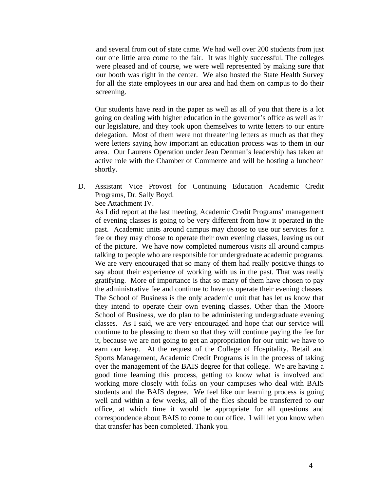and several from out of state came. We had well over 200 students from just our one little area come to the fair. It was highly successful. The colleges were pleased and of course, we were well represented by making sure that our booth was right in the center. We also hosted the State Health Survey for all the state employees in our area and had them on campus to do their screening.

Our students have read in the paper as well as all of you that there is a lot going on dealing with higher education in the governor's office as well as in our legislature, and they took upon themselves to write letters to our entire delegation. Most of them were not threatening letters as much as that they were letters saying how important an education process was to them in our area. Our Laurens Operation under Jean Denman's leadership has taken an active role with the Chamber of Commerce and will be hosting a luncheon shortly.

D. Assistant Vice Provost for Continuing Education Academic Credit Programs, Dr. Sally Boyd.

See Attachment IV.

As I did report at the last meeting, Academic Credit Programs' management of evening classes is going to be very different from how it operated in the past. Academic units around campus may choose to use our services for a fee or they may choose to operate their own evening classes, leaving us out of the picture. We have now completed numerous visits all around campus talking to people who are responsible for undergraduate academic programs. We are very encouraged that so many of them had really positive things to say about their experience of working with us in the past. That was really gratifying. More of importance is that so many of them have chosen to pay the administrative fee and continue to have us operate their evening classes. The School of Business is the only academic unit that has let us know that they intend to operate their own evening classes. Other than the Moore School of Business, we do plan to be administering undergraduate evening classes. As I said, we are very encouraged and hope that our service will continue to be pleasing to them so that they will continue paying the fee for it, because we are not going to get an appropriation for our unit: we have to earn our keep. At the request of the College of Hospitality, Retail and Sports Management, Academic Credit Programs is in the process of taking over the management of the BAIS degree for that college. We are having a good time learning this process, getting to know what is involved and working more closely with folks on your campuses who deal with BAIS students and the BAIS degree. We feel like our learning process is going well and within a few weeks, all of the files should be transferred to our office, at which time it would be appropriate for all questions and correspondence about BAIS to come to our office. I will let you know when that transfer has been completed. Thank you.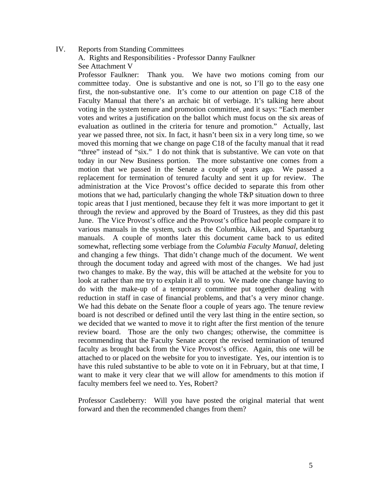## IV. Reports from Standing Committees

A. Rights and Responsibilities - Professor Danny Faulkner See Attachment V

Professor Faulkner: Thank you. We have two motions coming from our committee today. One is substantive and one is not, so I'll go to the easy one first, the non-substantive one. It's come to our attention on page C18 of the Faculty Manual that there's an archaic bit of verbiage. It's talking here about voting in the system tenure and promotion committee, and it says: "Each member votes and writes a justification on the ballot which must focus on the six areas of evaluation as outlined in the criteria for tenure and promotion." Actually, last year we passed three, not six. In fact, it hasn't been six in a very long time, so we moved this morning that we change on page C18 of the faculty manual that it read "three" instead of "six." I do not think that is substantive. We can vote on that today in our New Business portion. The more substantive one comes from a motion that we passed in the Senate a couple of years ago. We passed a replacement for termination of tenured faculty and sent it up for review. The administration at the Vice Provost's office decided to separate this from other motions that we had, particularly changing the whole T&P situation down to three topic areas that I just mentioned, because they felt it was more important to get it through the review and approved by the Board of Trustees, as they did this past June. The Vice Provost's office and the Provost's office had people compare it to various manuals in the system, such as the Columbia, Aiken, and Spartanburg manuals. A couple of months later this document came back to us edited somewhat, reflecting some verbiage from the *Columbia Faculty Manual*, deleting and changing a few things. That didn't change much of the document. We went through the document today and agreed with most of the changes. We had just two changes to make. By the way, this will be attached at the website for you to look at rather than me try to explain it all to you. We made one change having to do with the make-up of a temporary committee put together dealing with reduction in staff in case of financial problems, and that's a very minor change. We had this debate on the Senate floor a couple of years ago. The tenure review board is not described or defined until the very last thing in the entire section, so we decided that we wanted to move it to right after the first mention of the tenure review board. Those are the only two changes; otherwise, the committee is recommending that the Faculty Senate accept the revised termination of tenured faculty as brought back from the Vice Provost's office. Again, this one will be attached to or placed on the website for you to investigate. Yes, our intention is to have this ruled substantive to be able to vote on it in February, but at that time, I want to make it very clear that we will allow for amendments to this motion if faculty members feel we need to. Yes, Robert?

Professor Castleberry: Will you have posted the original material that went forward and then the recommended changes from them?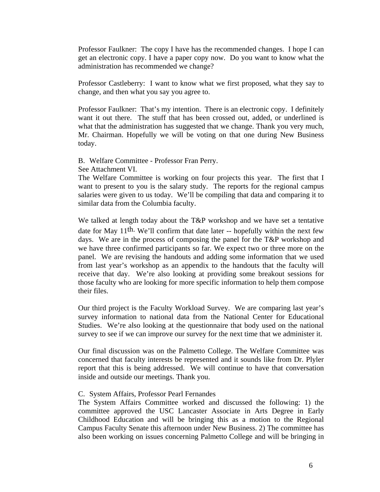Professor Faulkner: The copy I have has the recommended changes. I hope I can get an electronic copy. I have a paper copy now. Do you want to know what the administration has recommended we change?

Professor Castleberry: I want to know what we first proposed, what they say to change, and then what you say you agree to.

Professor Faulkner: That's my intention. There is an electronic copy. I definitely want it out there. The stuff that has been crossed out, added, or underlined is what that the administration has suggested that we change. Thank you very much, Mr. Chairman. Hopefully we will be voting on that one during New Business today.

B. Welfare Committee - Professor Fran Perry.

See Attachment VI.

The Welfare Committee is working on four projects this year. The first that I want to present to you is the salary study. The reports for the regional campus salaries were given to us today. We'll be compiling that data and comparing it to similar data from the Columbia faculty.

We talked at length today about the T&P workshop and we have set a tentative date for May 11th. We'll confirm that date later -- hopefully within the next few days. We are in the process of composing the panel for the T&P workshop and we have three confirmed participants so far. We expect two or three more on the panel. We are revising the handouts and adding some information that we used from last year's workshop as an appendix to the handouts that the faculty will receive that day. We're also looking at providing some breakout sessions for those faculty who are looking for more specific information to help them compose their files.

Our third project is the Faculty Workload Survey. We are comparing last year's survey information to national data from the National Center for Educational Studies. We're also looking at the questionnaire that body used on the national survey to see if we can improve our survey for the next time that we administer it.

Our final discussion was on the Palmetto College. The Welfare Committee was concerned that faculty interests be represented and it sounds like from Dr. Plyler report that this is being addressed. We will continue to have that conversation inside and outside our meetings. Thank you.

## C. System Affairs, Professor Pearl Fernandes

The System Affairs Committee worked and discussed the following: 1) the committee approved the USC Lancaster Associate in Arts Degree in Early Childhood Education and will be bringing this as a motion to the Regional Campus Faculty Senate this afternoon under New Business. 2) The committee has also been working on issues concerning Palmetto College and will be bringing in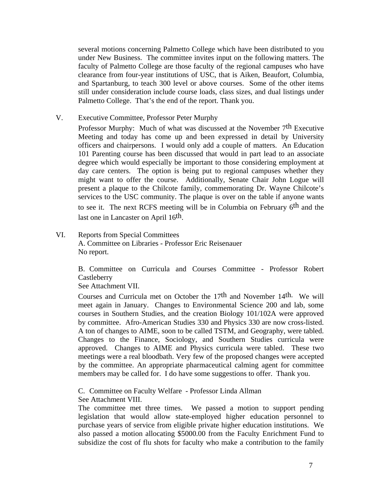several motions concerning Palmetto College which have been distributed to you under New Business. The committee invites input on the following matters. The faculty of Palmetto College are those faculty of the regional campuses who have clearance from four-year institutions of USC, that is Aiken, Beaufort, Columbia, and Spartanburg, to teach 300 level or above courses. Some of the other items still under consideration include course loads, class sizes, and dual listings under Palmetto College. That's the end of the report. Thank you.

V. Executive Committee, Professor Peter Murphy

Professor Murphy: Much of what was discussed at the November 7<sup>th</sup> Executive Meeting and today has come up and been expressed in detail by University officers and chairpersons. I would only add a couple of matters. An Education 101 Parenting course has been discussed that would in part lead to an associate degree which would especially be important to those considering employment at day care centers. The option is being put to regional campuses whether they might want to offer the course. Additionally, Senate Chair John Logue will present a plaque to the Chilcote family, commemorating Dr. Wayne Chilcote's services to the USC community. The plaque is over on the table if anyone wants to see it. The next RCFS meeting will be in Columbia on February 6th and the last one in Lancaster on April 16th.

VI. Reports from Special Committees A. Committee on Libraries - Professor Eric Reisenauer No report.

> B. Committee on Curricula and Courses Committee - Professor Robert **Castleberry**

See Attachment VII.

Courses and Curricula met on October the 17th and November 14th. We will meet again in January. Changes to Environmental Science 200 and lab, some courses in Southern Studies, and the creation Biology 101/102A were approved by committee. Afro-American Studies 330 and Physics 330 are now cross-listed. A ton of changes to AIME, soon to be called TSTM, and Geography, were tabled. Changes to the Finance, Sociology, and Southern Studies curricula were approved. Changes to AIME and Physics curricula were tabled. These two meetings were a real bloodbath. Very few of the proposed changes were accepted by the committee. An appropriate pharmaceutical calming agent for committee members may be called for. I do have some suggestions to offer. Thank you.

C. Committee on Faculty Welfare - Professor Linda Allman See Attachment VIII.

The committee met three times. We passed a motion to support pending legislation that would allow state-employed higher education personnel to purchase years of service from eligible private higher education institutions. We also passed a motion allocating \$5000.00 from the Faculty Enrichment Fund to subsidize the cost of flu shots for faculty who make a contribution to the family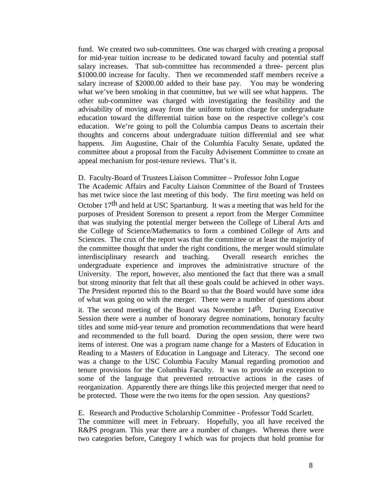fund. We created two sub-committees. One was charged with creating a proposal for mid-year tuition increase to be dedicated toward faculty and potential staff salary increases. That sub-committee has recommended a three- percent plus \$1000.00 increase for faculty. Then we recommended staff members receive a salary increase of \$2000.00 added to their base pay. You may be wondering what we've been smoking in that committee, but we will see what happens. The other sub-committee was charged with investigating the feasibility and the advisability of moving away from the uniform tuition charge for undergraduate education toward the differential tuition base on the respective college's cost education. We're going to poll the Columbia campus Deans to ascertain their thoughts and concerns about undergraduate tuition differential and see what happens. Jim Augustine, Chair of the Columbia Faculty Senate, updated the committee about a proposal from the Faculty Advisement Committee to create an appeal mechanism for post-tenure reviews. That's it.

## D. Faculty-Board of Trustees Liaison Committee – Professor John Logue

The Academic Affairs and Faculty Liaison Committee of the Board of Trustees has met twice since the last meeting of this body. The first meeting was held on October 17th and held at USC Spartanburg. It was a meeting that was held for the purposes of President Sorenson to present a report from the Merger Committee that was studying the potential merger between the College of Liberal Arts and the College of Science/Mathematics to form a combined College of Arts and Sciences. The crux of the report was that the committee or at least the majority of the committee thought that under the right conditions, the merger would stimulate interdisciplinary research and teaching. Overall research enriches the undergraduate experience and improves the administrative structure of the University. The report, however, also mentioned the fact that there was a small but strong minority that felt that all these goals could be achieved in other ways. The President reported this to the Board so that the Board would have some idea of what was going on with the merger. There were a number of questions about

it. The second meeting of the Board was November 14th. During Executive Session there were a number of honorary degree nominations, honorary faculty titles and some mid-year tenure and promotion recommendations that were heard and recommended to the full board. During the open session, there were two items of interest. One was a program name change for a Masters of Education in Reading to a Masters of Education in Language and Literacy. The second one was a change to the USC Columbia Faculty Manual regarding promotion and tenure provisions for the Columbia Faculty. It was to provide an exception to some of the language that prevented retroactive actions in the cases of reorganization. Apparently there are things like this projected merger that need to be protected. Those were the two items for the open session. Any questions?

E. Research and Productive Scholarship Committee - Professor Todd Scarlett. The committee will meet in February. Hopefully, you all have received the R&PS program. This year there are a number of changes. Whereas there were two categories before, Category I which was for projects that hold promise for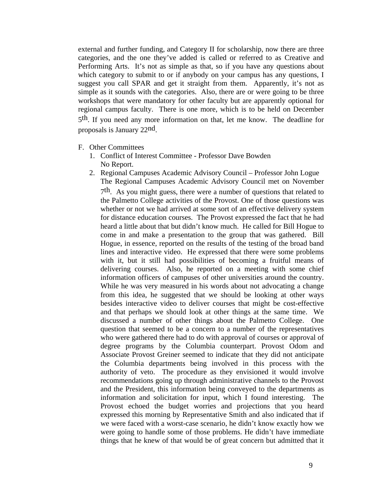external and further funding, and Category II for scholarship, now there are three categories, and the one they've added is called or referred to as Creative and Performing Arts. It's not as simple as that, so if you have any questions about which category to submit to or if anybody on your campus has any questions, I suggest you call SPAR and get it straight from them. Apparently, it's not as simple as it sounds with the categories. Also, there are or were going to be three workshops that were mandatory for other faculty but are apparently optional for regional campus faculty. There is one more, which is to be held on December 5th. If you need any more information on that, let me know. The deadline for proposals is January 22nd.

- F. Other Committees
	- 1. Conflict of Interest Committee Professor Dave Bowden No Report.
	- 2. Regional Campuses Academic Advisory Council Professor John Logue The Regional Campuses Academic Advisory Council met on November 7th. As you might guess, there were a number of questions that related to the Palmetto College activities of the Provost. One of those questions was whether or not we had arrived at some sort of an effective delivery system for distance education courses. The Provost expressed the fact that he had heard a little about that but didn't know much. He called for Bill Hogue to come in and make a presentation to the group that was gathered. Bill Hogue, in essence, reported on the results of the testing of the broad band lines and interactive video. He expressed that there were some problems with it, but it still had possibilities of becoming a fruitful means of delivering courses. Also, he reported on a meeting with some chief information officers of campuses of other universities around the country. While he was very measured in his words about not advocating a change from this idea, he suggested that we should be looking at other ways besides interactive video to deliver courses that might be cost-effective and that perhaps we should look at other things at the same time. We discussed a number of other things about the Palmetto College. One question that seemed to be a concern to a number of the representatives who were gathered there had to do with approval of courses or approval of degree programs by the Columbia counterpart. Provost Odom and Associate Provost Greiner seemed to indicate that they did not anticipate the Columbia departments being involved in this process with the authority of veto. The procedure as they envisioned it would involve recommendations going up through administrative channels to the Provost and the President, this information being conveyed to the departments as information and solicitation for input, which I found interesting. The Provost echoed the budget worries and projections that you heard expressed this morning by Representative Smith and also indicated that if we were faced with a worst-case scenario, he didn't know exactly how we were going to handle some of those problems. He didn't have immediate things that he knew of that would be of great concern but admitted that it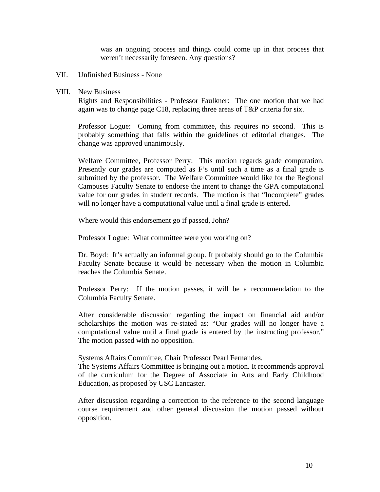was an ongoing process and things could come up in that process that weren't necessarily foreseen. Any questions?

#### VII. Unfinished Business - None

#### VIII. New Business

Rights and Responsibilities - Professor Faulkner: The one motion that we had again was to change page C18, replacing three areas of T&P criteria for six.

Professor Logue: Coming from committee, this requires no second. This is probably something that falls within the guidelines of editorial changes. The change was approved unanimously.

Welfare Committee, Professor Perry: This motion regards grade computation. Presently our grades are computed as F's until such a time as a final grade is submitted by the professor. The Welfare Committee would like for the Regional Campuses Faculty Senate to endorse the intent to change the GPA computational value for our grades in student records. The motion is that "Incomplete" grades will no longer have a computational value until a final grade is entered.

Where would this endorsement go if passed, John?

Professor Logue: What committee were you working on?

Dr. Boyd: It's actually an informal group. It probably should go to the Columbia Faculty Senate because it would be necessary when the motion in Columbia reaches the Columbia Senate.

Professor Perry: If the motion passes, it will be a recommendation to the Columbia Faculty Senate.

After considerable discussion regarding the impact on financial aid and/or scholarships the motion was re-stated as: "Our grades will no longer have a computational value until a final grade is entered by the instructing professor." The motion passed with no opposition.

Systems Affairs Committee, Chair Professor Pearl Fernandes.

The Systems Affairs Committee is bringing out a motion. It recommends approval of the curriculum for the Degree of Associate in Arts and Early Childhood Education, as proposed by USC Lancaster.

After discussion regarding a correction to the reference to the second language course requirement and other general discussion the motion passed without opposition.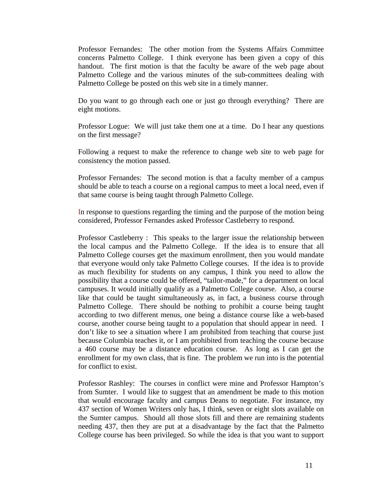Professor Fernandes: The other motion from the Systems Affairs Committee concerns Palmetto College. I think everyone has been given a copy of this handout. The first motion is that the faculty be aware of the web page about Palmetto College and the various minutes of the sub-committees dealing with Palmetto College be posted on this web site in a timely manner.

Do you want to go through each one or just go through everything? There are eight motions.

Professor Logue: We will just take them one at a time. Do I hear any questions on the first message?

Following a request to make the reference to change web site to web page for consistency the motion passed.

Professor Fernandes: The second motion is that a faculty member of a campus should be able to teach a course on a regional campus to meet a local need, even if that same course is being taught through Palmetto College.

In response to questions regarding the timing and the purpose of the motion being considered, Professor Fernandes asked Professor Castleberry to respond.

Professor Castleberry : This speaks to the larger issue the relationship between the local campus and the Palmetto College. If the idea is to ensure that all Palmetto College courses get the maximum enrollment, then you would mandate that everyone would only take Palmetto College courses. If the idea is to provide as much flexibility for students on any campus, I think you need to allow the possibility that a course could be offered, "tailor-made," for a department on local campuses. It would initially qualify as a Palmetto College course. Also, a course like that could be taught simultaneously as, in fact, a business course through Palmetto College. There should be nothing to prohibit a course being taught according to two different menus, one being a distance course like a web-based course, another course being taught to a population that should appear in need. I don't like to see a situation where I am prohibited from teaching that course just because Columbia teaches it, or I am prohibited from teaching the course because a 460 course may be a distance education course. As long as I can get the enrollment for my own class, that is fine. The problem we run into is the potential for conflict to exist.

Professor Rashley: The courses in conflict were mine and Professor Hampton's from Sumter. I would like to suggest that an amendment be made to this motion that would encourage faculty and campus Deans to negotiate. For instance, my 437 section of Women Writers only has, I think, seven or eight slots available on the Sumter campus. Should all those slots fill and there are remaining students needing 437, then they are put at a disadvantage by the fact that the Palmetto College course has been privileged. So while the idea is that you want to support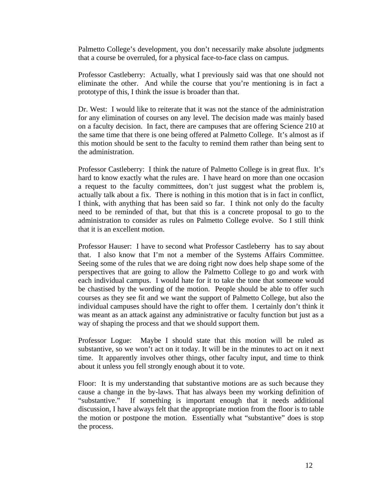Palmetto College's development, you don't necessarily make absolute judgments that a course be overruled, for a physical face-to-face class on campus.

Professor Castleberry: Actually, what I previously said was that one should not eliminate the other. And while the course that you're mentioning is in fact a prototype of this, I think the issue is broader than that.

Dr. West: I would like to reiterate that it was not the stance of the administration for any elimination of courses on any level. The decision made was mainly based on a faculty decision. In fact, there are campuses that are offering Science 210 at the same time that there is one being offered at Palmetto College. It's almost as if this motion should be sent to the faculty to remind them rather than being sent to the administration.

Professor Castleberry: I think the nature of Palmetto College is in great flux. It's hard to know exactly what the rules are. I have heard on more than one occasion a request to the faculty committees, don't just suggest what the problem is, actually talk about a fix. There is nothing in this motion that is in fact in conflict, I think, with anything that has been said so far. I think not only do the faculty need to be reminded of that, but that this is a concrete proposal to go to the administration to consider as rules on Palmetto College evolve. So I still think that it is an excellent motion.

Professor Hauser: I have to second what Professor Castleberry has to say about that. I also know that I'm not a member of the Systems Affairs Committee. Seeing some of the rules that we are doing right now does help shape some of the perspectives that are going to allow the Palmetto College to go and work with each individual campus. I would hate for it to take the tone that someone would be chastised by the wording of the motion. People should be able to offer such courses as they see fit and we want the support of Palmetto College, but also the individual campuses should have the right to offer them. I certainly don't think it was meant as an attack against any administrative or faculty function but just as a way of shaping the process and that we should support them.

Professor Logue: Maybe I should state that this motion will be ruled as substantive, so we won't act on it today. It will be in the minutes to act on it next time. It apparently involves other things, other faculty input, and time to think about it unless you fell strongly enough about it to vote.

Floor: It is my understanding that substantive motions are as such because they cause a change in the by-laws. That has always been my working definition of "substantive." If something is important enough that it needs additional discussion, I have always felt that the appropriate motion from the floor is to table the motion or postpone the motion. Essentially what "substantive" does is stop the process.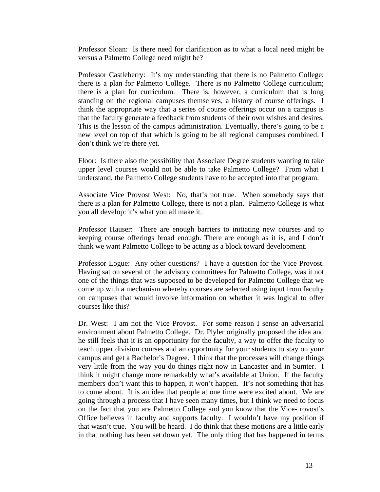Professor Sloan: Is there need for clarification as to what a local need might be versus a Palmetto College need might be?

Professor Castleberry: It's my understanding that there is no Palmetto College; there is a plan for Palmetto College. There is no Palmetto College curriculum; there is a plan for curriculum. There is, however, a curriculum that is long standing on the regional campuses themselves, a history of course offerings. I think the appropriate way that a series of course offerings occur on a campus is that the faculty generate a feedback from students of their own wishes and desires. This is the lesson of the campus administration. Eventually, there's going to be a new level on top of that which is going to be all regional campuses combined. I don't think we're there yet.

Floor: Is there also the possibility that Associate Degree students wanting to take upper level courses would not be able to take Palmetto College? From what I understand, the Palmetto College students have to be accepted into that program.

Associate Vice Provost West: No, that's not true. When somebody says that there is a plan for Palmetto College, there is not a plan. Palmetto College is what you all develop: it's what you all make it.

Professor Hauser: There are enough barriers to initiating new courses and to keeping course offerings broad enough. There are enough as it is, and I don't think we want Palmetto College to be acting as a block toward development.

Professor Logue: Any other questions? I have a question for the Vice Provost. Having sat on several of the advisory committees for Palmetto College, was it not one of the things that was supposed to be developed for Palmetto College that we come up with a mechanism whereby courses are selected using input from faculty on campuses that would involve information on whether it was logical to offer courses like this?

Dr. West: I am not the Vice Provost. For some reason I sense an adversarial environment about Palmetto College. Dr. Plyler originally proposed the idea and he still feels that it is an opportunity for the faculty, a way to offer the faculty to teach upper division courses and an opportunity for your students to stay on your campus and get a Bachelor's Degree. I think that the processes will change things very little from the way you do things right now in Lancaster and in Sumter. I think it might change more remarkably what's available at Union. If the faculty members don't want this to happen, it won't happen. It's not something that has to come about. It is an idea that people at one time were excited about. We are going through a process that I have seen many times, but I think we need to focus on the fact that you are Palmetto College and you know that the Vice- rovost's Office believes in faculty and supports faculty. I wouldn't have my position if that wasn't true. You will be heard. I do think that these motions are a little early in that nothing has been set down yet. The only thing that has happened in terms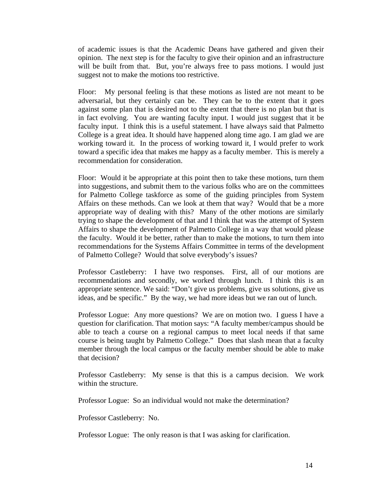of academic issues is that the Academic Deans have gathered and given their opinion. The next step is for the faculty to give their opinion and an infrastructure will be built from that. But, you're always free to pass motions. I would just suggest not to make the motions too restrictive.

Floor: My personal feeling is that these motions as listed are not meant to be adversarial, but they certainly can be. They can be to the extent that it goes against some plan that is desired not to the extent that there is no plan but that is in fact evolving. You are wanting faculty input. I would just suggest that it be faculty input. I think this is a useful statement. I have always said that Palmetto College is a great idea. It should have happened along time ago. I am glad we are working toward it. In the process of working toward it, I would prefer to work toward a specific idea that makes me happy as a faculty member. This is merely a recommendation for consideration.

Floor: Would it be appropriate at this point then to take these motions, turn them into suggestions, and submit them to the various folks who are on the committees for Palmetto College taskforce as some of the guiding principles from System Affairs on these methods. Can we look at them that way? Would that be a more appropriate way of dealing with this? Many of the other motions are similarly trying to shape the development of that and I think that was the attempt of System Affairs to shape the development of Palmetto College in a way that would please the faculty. Would it be better, rather than to make the motions, to turn them into recommendations for the Systems Affairs Committee in terms of the development of Palmetto College? Would that solve everybody's issues?

Professor Castleberry: I have two responses. First, all of our motions are recommendations and secondly, we worked through lunch. I think this is an appropriate sentence. We said: "Don't give us problems, give us solutions, give us ideas, and be specific." By the way, we had more ideas but we ran out of lunch.

Professor Logue: Any more questions? We are on motion two. I guess I have a question for clarification. That motion says: "A faculty member/campus should be able to teach a course on a regional campus to meet local needs if that same course is being taught by Palmetto College." Does that slash mean that a faculty member through the local campus or the faculty member should be able to make that decision?

Professor Castleberry: My sense is that this is a campus decision. We work within the structure.

Professor Logue: So an individual would not make the determination?

Professor Castleberry: No.

Professor Logue: The only reason is that I was asking for clarification.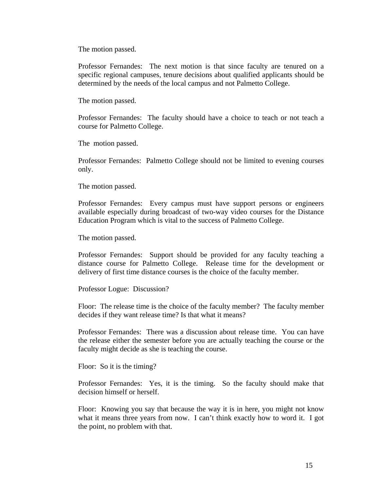The motion passed.

Professor Fernandes: The next motion is that since faculty are tenured on a specific regional campuses, tenure decisions about qualified applicants should be determined by the needs of the local campus and not Palmetto College.

The motion passed.

Professor Fernandes: The faculty should have a choice to teach or not teach a course for Palmetto College.

The motion passed.

Professor Fernandes: Palmetto College should not be limited to evening courses only.

The motion passed.

Professor Fernandes: Every campus must have support persons or engineers available especially during broadcast of two-way video courses for the Distance Education Program which is vital to the success of Palmetto College.

The motion passed.

Professor Fernandes: Support should be provided for any faculty teaching a distance course for Palmetto College. Release time for the development or delivery of first time distance courses is the choice of the faculty member.

Professor Logue: Discussion?

Floor: The release time is the choice of the faculty member? The faculty member decides if they want release time? Is that what it means?

Professor Fernandes: There was a discussion about release time. You can have the release either the semester before you are actually teaching the course or the faculty might decide as she is teaching the course.

Floor: So it is the timing?

Professor Fernandes: Yes, it is the timing. So the faculty should make that decision himself or herself.

Floor: Knowing you say that because the way it is in here, you might not know what it means three years from now. I can't think exactly how to word it. I got the point, no problem with that.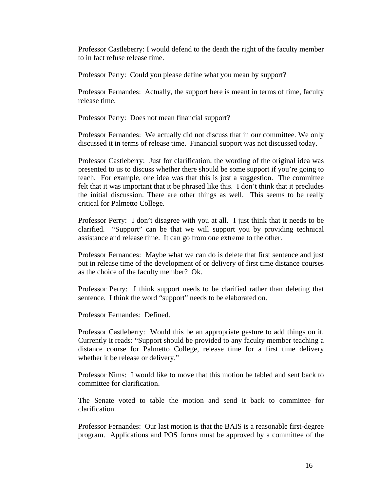Professor Castleberry: I would defend to the death the right of the faculty member to in fact refuse release time.

Professor Perry: Could you please define what you mean by support?

Professor Fernandes: Actually, the support here is meant in terms of time, faculty release time.

Professor Perry: Does not mean financial support?

Professor Fernandes: We actually did not discuss that in our committee. We only discussed it in terms of release time. Financial support was not discussed today.

Professor Castleberry: Just for clarification, the wording of the original idea was presented to us to discuss whether there should be some support if you're going to teach. For example, one idea was that this is just a suggestion. The committee felt that it was important that it be phrased like this. I don't think that it precludes the initial discussion. There are other things as well. This seems to be really critical for Palmetto College.

Professor Perry: I don't disagree with you at all. I just think that it needs to be clarified. "Support" can be that we will support you by providing technical assistance and release time. It can go from one extreme to the other.

Professor Fernandes: Maybe what we can do is delete that first sentence and just put in release time of the development of or delivery of first time distance courses as the choice of the faculty member? Ok.

Professor Perry: I think support needs to be clarified rather than deleting that sentence. I think the word "support" needs to be elaborated on.

Professor Fernandes: Defined.

Professor Castleberry: Would this be an appropriate gesture to add things on it. Currently it reads: "Support should be provided to any faculty member teaching a distance course for Palmetto College, release time for a first time delivery whether it be release or delivery."

Professor Nims: I would like to move that this motion be tabled and sent back to committee for clarification.

The Senate voted to table the motion and send it back to committee for clarification.

Professor Fernandes: Our last motion is that the BAIS is a reasonable first-degree program. Applications and POS forms must be approved by a committee of the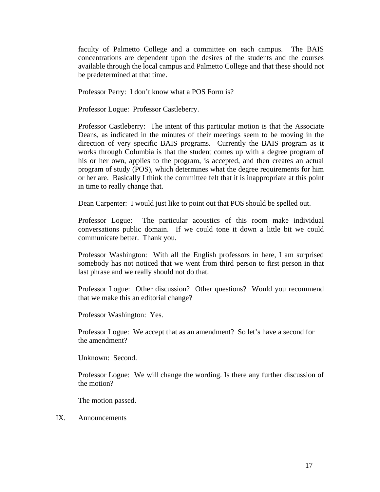faculty of Palmetto College and a committee on each campus. The BAIS concentrations are dependent upon the desires of the students and the courses available through the local campus and Palmetto College and that these should not be predetermined at that time.

Professor Perry: I don't know what a POS Form is?

Professor Logue: Professor Castleberry.

Professor Castleberry: The intent of this particular motion is that the Associate Deans, as indicated in the minutes of their meetings seem to be moving in the direction of very specific BAIS programs. Currently the BAIS program as it works through Columbia is that the student comes up with a degree program of his or her own, applies to the program, is accepted, and then creates an actual program of study (POS), which determines what the degree requirements for him or her are. Basically I think the committee felt that it is inappropriate at this point in time to really change that.

Dean Carpenter: I would just like to point out that POS should be spelled out.

Professor Logue: The particular acoustics of this room make individual conversations public domain. If we could tone it down a little bit we could communicate better. Thank you.

Professor Washington: With all the English professors in here, I am surprised somebody has not noticed that we went from third person to first person in that last phrase and we really should not do that.

Professor Logue: Other discussion? Other questions? Would you recommend that we make this an editorial change?

Professor Washington: Yes.

Professor Logue: We accept that as an amendment? So let's have a second for the amendment?

Unknown: Second.

Professor Logue: We will change the wording. Is there any further discussion of the motion?

The motion passed.

IX. Announcements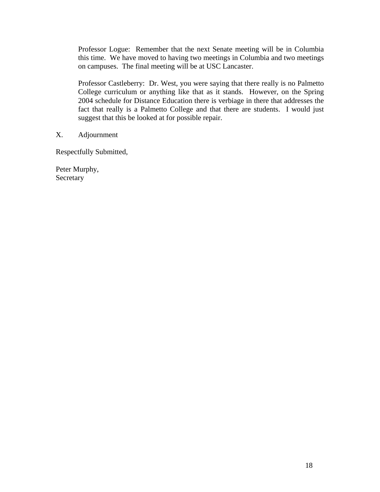Professor Logue: Remember that the next Senate meeting will be in Columbia this time. We have moved to having two meetings in Columbia and two meetings on campuses. The final meeting will be at USC Lancaster.

Professor Castleberry: Dr. West, you were saying that there really is no Palmetto College curriculum or anything like that as it stands. However, on the Spring 2004 schedule for Distance Education there is verbiage in there that addresses the fact that really is a Palmetto College and that there are students. I would just suggest that this be looked at for possible repair.

X. Adjournment

Respectfully Submitted,

Peter Murphy, **Secretary**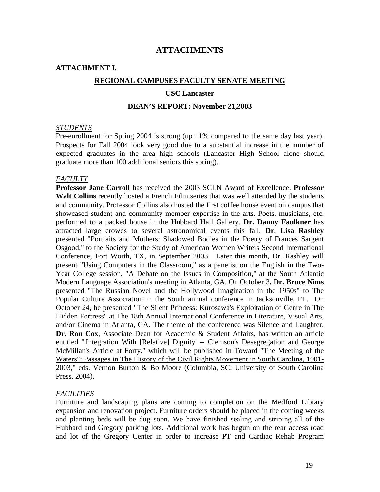# **ATTACHMENTS**

# **ATTACHMENT I.**

## **REGIONAL CAMPUSES FACULTY SENATE MEETING**

#### **USC Lancaster**

#### **DEAN'S REPORT: November 21,2003**

#### *STUDENTS*

Pre-enrollment for Spring 2004 is strong (up 11% compared to the same day last year). Prospects for Fall 2004 look very good due to a substantial increase in the number of expected graduates in the area high schools (Lancaster High School alone should graduate more than 100 additional seniors this spring).

#### *FACULTY*

**Professor Jane Carroll** has received the 2003 SCLN Award of Excellence. **Professor Walt Collins** recently hosted a French Film series that was well attended by the students and community. Professor Collins also hosted the first coffee house event on campus that showcased student and community member expertise in the arts. Poets, musicians, etc. performed to a packed house in the Hubbard Hall Gallery. **Dr. Danny Faulkner** has attracted large crowds to several astronomical events this fall. **Dr. Lisa Rashley** presented "Portraits and Mothers: Shadowed Bodies in the Poetry of Frances Sargent Osgood," to the Society for the Study of American Women Writers Second International Conference, Fort Worth, TX, in September 2003. Later this month, Dr. Rashley will present "Using Computers in the Classroom," as a panelist on the English in the Two-Year College session, "A Debate on the Issues in Composition," at the South Atlantic Modern Language Association's meeting in Atlanta, GA. On October 3**, Dr. Bruce Nims** presented "The Russian Novel and the Hollywood Imagination in the 1950s" to The Popular Culture Association in the South annual conference in Jacksonville, FL. On October 24, he presented "The Silent Princess: Kurosawa's Exploitation of Genre in The Hidden Fortress" at The 18th Annual International Conference in Literature, Visual Arts, and/or Cinema in Atlanta, GA. The theme of the conference was Silence and Laughter. **Dr. Ron Cox**, Associate Dean for Academic & Student Affairs, has written an article entitled "'Integration With [Relative] Dignity' -- Clemson's Desegregation and George McMillan's Article at Forty," which will be published in Toward "The Meeting of the Waters": Passages in The History of the Civil Rights Movement in South Carolina, 1901- 2003," eds. Vernon Burton & Bo Moore (Columbia, SC: University of South Carolina Press, 2004).

#### *FACILITIES*

Furniture and landscaping plans are coming to completion on the Medford Library expansion and renovation project. Furniture orders should be placed in the coming weeks and planting beds will be dug soon. We have finished sealing and striping all of the Hubbard and Gregory parking lots. Additional work has begun on the rear access road and lot of the Gregory Center in order to increase PT and Cardiac Rehab Program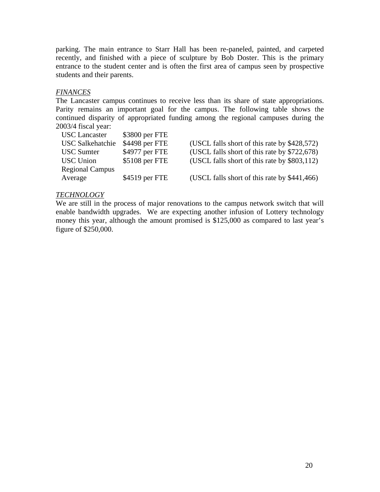parking. The main entrance to Starr Hall has been re-paneled, painted, and carpeted recently, and finished with a piece of sculpture by Bob Doster. This is the primary entrance to the student center and is often the first area of campus seen by prospective students and their parents.

# *FINANCES*

The Lancaster campus continues to receive less than its share of state appropriations. Parity remains an important goal for the campus. The following table shows the continued disparity of appropriated funding among the regional campuses during the 2003/4 fiscal year:

| <b>USC</b> Lancaster    | \$3800 per FTE |                                              |
|-------------------------|----------------|----------------------------------------------|
| <b>USC Salkehatchie</b> | \$4498 per FTE | (USCL falls short of this rate by \$428,572) |
| <b>USC</b> Sumter       | \$4977 per FTE | (USCL falls short of this rate by \$722,678) |
| <b>USC</b> Union        | \$5108 per FTE | (USCL falls short of this rate by \$803,112) |
| <b>Regional Campus</b>  |                |                                              |
| Average                 | \$4519 per FTE | (USCL falls short of this rate by \$441,466) |

# *TECHNOLOGY*

We are still in the process of major renovations to the campus network switch that will enable bandwidth upgrades. We are expecting another infusion of Lottery technology money this year, although the amount promised is \$125,000 as compared to last year's figure of \$250,000.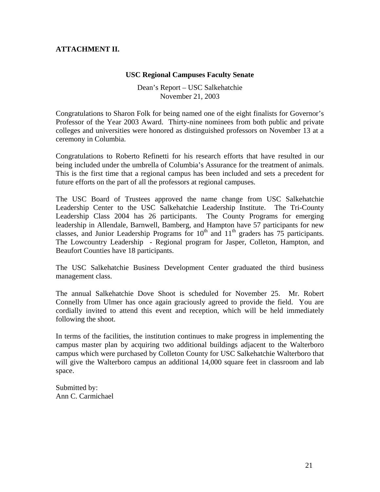# **ATTACHMENT II.**

## **USC Regional Campuses Faculty Senate**

Dean's Report – USC Salkehatchie November 21, 2003

Congratulations to Sharon Folk for being named one of the eight finalists for Governor's Professor of the Year 2003 Award. Thirty-nine nominees from both public and private colleges and universities were honored as distinguished professors on November 13 at a ceremony in Columbia.

Congratulations to Roberto Refinetti for his research efforts that have resulted in our being included under the umbrella of Columbia's Assurance for the treatment of animals. This is the first time that a regional campus has been included and sets a precedent for future efforts on the part of all the professors at regional campuses.

The USC Board of Trustees approved the name change from USC Salkehatchie Leadership Center to the USC Salkehatchie Leadership Institute. The Tri-County Leadership Class 2004 has 26 participants. The County Programs for emerging leadership in Allendale, Barnwell, Bamberg, and Hampton have 57 participants for new classes, and Junior Leadership Programs for  $10^{th}$  and  $11^{th}$  graders has 75 participants. The Lowcountry Leadership - Regional program for Jasper, Colleton, Hampton, and Beaufort Counties have 18 participants.

The USC Salkehatchie Business Development Center graduated the third business management class.

The annual Salkehatchie Dove Shoot is scheduled for November 25. Mr. Robert Connelly from Ulmer has once again graciously agreed to provide the field. You are cordially invited to attend this event and reception, which will be held immediately following the shoot.

In terms of the facilities, the institution continues to make progress in implementing the campus master plan by acquiring two additional buildings adjacent to the Walterboro campus which were purchased by Colleton County for USC Salkehatchie Walterboro that will give the Walterboro campus an additional 14,000 square feet in classroom and lab space.

Submitted by: Ann C. Carmichael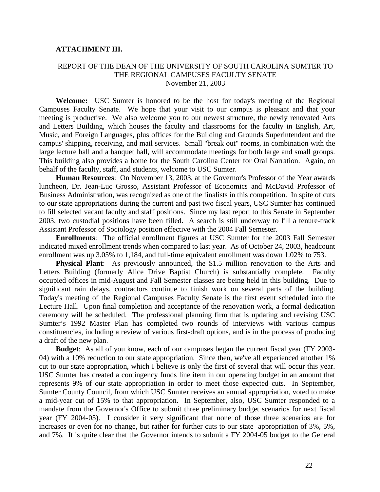## **ATTACHMENT III.**

#### REPORT OF THE DEAN OF THE UNIVERSITY OF SOUTH CAROLINA SUMTER TO THE REGIONAL CAMPUSES FACULTY SENATE November 21, 2003

**Welcome:** USC Sumter is honored to be the host for today's meeting of the Regional Campuses Faculty Senate. We hope that your visit to our campus is pleasant and that your meeting is productive. We also welcome you to our newest structure, the newly renovated Arts and Letters Building, which houses the faculty and classrooms for the faculty in English, Art, Music, and Foreign Languages, plus offices for the Building and Grounds Superintendent and the campus' shipping, receiving, and mail services. Small "break out" rooms, in combination with the large lecture hall and a banquet hall, will accommodate meetings for both large and small groups. This building also provides a home for the South Carolina Center for Oral Narration. Again, on behalf of the faculty, staff, and students, welcome to USC Sumter.

**Human Resources**: On November 13, 2003, at the Governor's Professor of the Year awards luncheon, Dr. Jean-Luc Grosso, Assistant Professor of Economics and McDavid Professor of Business Administration, was recognized as one of the finalists in this competition. In spite of cuts to our state appropriations during the current and past two fiscal years, USC Sumter has continued to fill selected vacant faculty and staff positions. Since my last report to this Senate in September 2003, two custodial positions have been filled. A search is still underway to fill a tenure-track Assistant Professor of Sociology position effective with the 2004 Fall Semester.

**Enrollments**: The official enrollment figures at USC Sumter for the 2003 Fall Semester indicated mixed enrollment trends when compared to last year. As of October 24, 2003, headcount enrollment was up 3.05% to 1,184, and full-time equivalent enrollment was down 1.02% to 753.

**Physical Plant**: As previously announced, the \$1.5 million renovation to the Arts and Letters Building (formerly Alice Drive Baptist Church) is substantially complete. Faculty occupied offices in mid-August and Fall Semester classes are being held in this building. Due to significant rain delays, contractors continue to finish work on several parts of the building. Today's meeting of the Regional Campuses Faculty Senate is the first event scheduled into the Lecture Hall. Upon final completion and acceptance of the renovation work, a formal dedication ceremony will be scheduled. The professional planning firm that is updating and revising USC Sumter's 1992 Master Plan has completed two rounds of interviews with various campus constituencies, including a review of various first-draft options, and is in the process of producing a draft of the new plan.

**Budget**: As all of you know, each of our campuses began the current fiscal year (FY 2003- 04) with a 10% reduction to our state appropriation. Since then, we've all experienced another 1% cut to our state appropriation, which I believe is only the first of several that will occur this year. USC Sumter has created a contingency funds line item in our operating budget in an amount that represents 9% of our state appropriation in order to meet those expected cuts. In September, Sumter County Council, from which USC Sumter receives an annual appropriation, voted to make a mid-year cut of 15% to that appropriation. In September, also, USC Sumter responded to a mandate from the Governor's Office to submit three preliminary budget scenarios for next fiscal year (FY 2004-05). I consider it very significant that none of those three scenarios are for increases or even for no change, but rather for further cuts to our state appropriation of 3%, 5%, and 7%. It is quite clear that the Governor intends to submit a FY 2004-05 budget to the General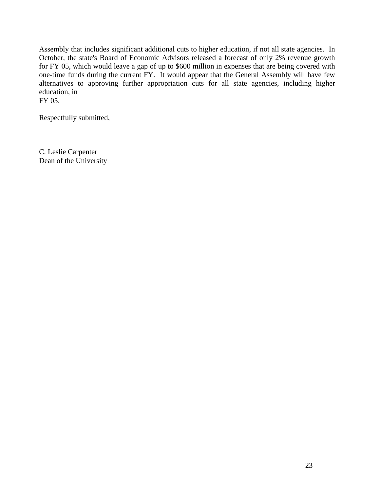Assembly that includes significant additional cuts to higher education, if not all state agencies. In October, the state's Board of Economic Advisors released a forecast of only 2% revenue growth for FY 05, which would leave a gap of up to \$600 million in expenses that are being covered with one-time funds during the current FY. It would appear that the General Assembly will have few alternatives to approving further appropriation cuts for all state agencies, including higher education, in FY 05.

Respectfully submitted,

C. Leslie Carpenter Dean of the University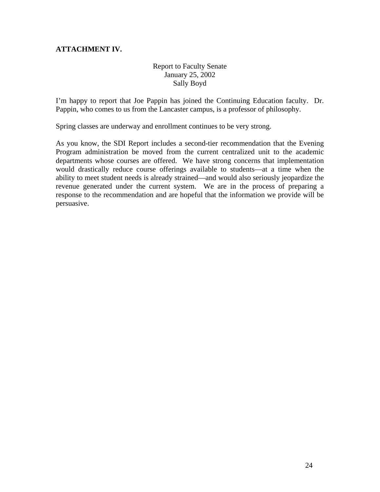# **ATTACHMENT IV.**

# Report to Faculty Senate January 25, 2002 Sally Boyd

I'm happy to report that Joe Pappin has joined the Continuing Education faculty. Dr. Pappin, who comes to us from the Lancaster campus, is a professor of philosophy.

Spring classes are underway and enrollment continues to be very strong.

As you know, the SDI Report includes a second-tier recommendation that the Evening Program administration be moved from the current centralized unit to the academic departments whose courses are offered. We have strong concerns that implementation would drastically reduce course offerings available to students—at a time when the ability to meet student needs is already strained—and would also seriously jeopardize the revenue generated under the current system. We are in the process of preparing a response to the recommendation and are hopeful that the information we provide will be persuasive.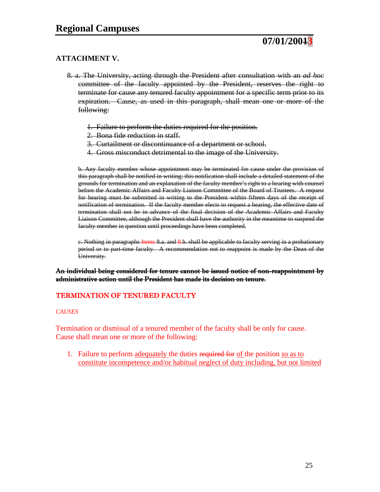

# **ATTACHMENT V.**

- 8. a. The University, acting through the President after consultation with an *ad hoc* committee of the faculty appointed by the President, reserves the right to terminate for cause any tenured faculty appointment for a specific term prior to its expiration. Cause, as used in this paragraph, shall mean one or more of the following:
	- 1. Failure to perform the duties required for the position.
	- 2. Bona fide reduction in staff.
	- 3. Curtailment or discontinuance of a department or school.
	- 4. Gross misconduct detrimental to the image of the University.

b. Any faculty member whose appointment may be terminated for cause under the provision of this paragraph shall be notified in writing; this notification shall include a detailed statement of the grounds for termination and an explanation of the faculty member's right to a hearing with counsel before the Academic Affairs and Faculty Liaison Committee of the Board of Trustees. A request for hearing must be submitted in writing to the President within fifteen days of the receipt of notification of termination. If the faculty member elects to request a hearing, the effective date of termination shall not be in advance of the final decision of the Academic Affairs and Faculty Liaison Committee, although the President shall have the authority in the meantime to suspend the faculty member in question until proceedings have been completed.

c. Nothing in paragraphs Items 8.a. and 8.b. shall be applicable to faculty serving in a probationary period or to part-time faculty. A recommendation not to reappoint is made by the Dean of the University.

## An individual being considered for tenure cannot be issued notice of non-reappointment by administrative action until the President has made its decision on tenure.

## TERMINATION OF TENURED FACULTY

#### *CAUSES*

Termination or dismissal of a tenured member of the faculty shall be only for cause. Cause shall mean one or more of the following:

1. Failure to perform adequately the duties required for of the position so as to constitute incompetence and/or habitual neglect of duty including, but not limited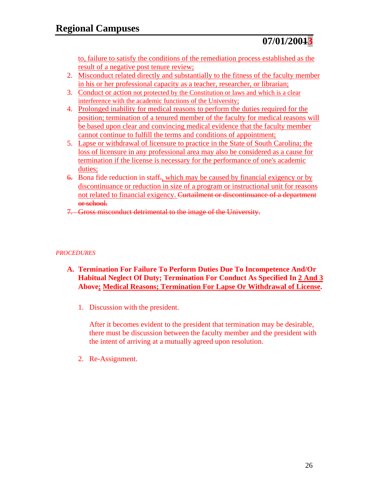to, failure to satisfy the conditions of the remediation process established as the result of a negative post tenure review;

- 2. Misconduct related directly and substantially to the fitness of the faculty member in his or her professional capacity as a teacher, researcher, or librarian;
- 3. Conduct or action not protected by the Constitution or laws and which is a clear interference with the academic functions of the University;
- 4. Prolonged inability for medical reasons to perform the duties required for the position; termination of a tenured member of the faculty for medical reasons will be based upon clear and convincing medical evidence that the faculty member cannot continue to fulfill the terms and conditions of appointment;
- 5. Lapse or withdrawal of licensure to practice in the State of South Carolina; the loss of licensure in any professional area may also be considered as a cause for termination if the license is necessary for the performance of one's academic duties;
- 6. Bona fide reduction in staff., which may be caused by financial exigency or by discontinuance or reduction in size of a program or instructional unit for reasons not related to financial exigency. Curtailment or discontinuance of a department or school.
- 7. Gross misconduct detrimental to the image of the University.

# *PROCEDURES*

- **A. Termination For Failure To Perform Duties Due To Incompetence And/Or Habitual Neglect Of Duty; Termination For Conduct As Specified In 2 And 3 Above; Medical Reasons; Termination For Lapse Or Withdrawal of License.** 
	- 1. Discussion with the president.

After it becomes evident to the president that termination may be desirable, there must be discussion between the faculty member and the president with the intent of arriving at a mutually agreed upon resolution.

2. Re-Assignment.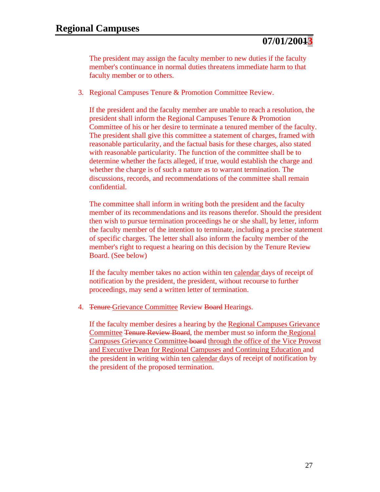The president may assign the faculty member to new duties if the faculty member's continuance in normal duties threatens immediate harm to that faculty member or to others.

3. Regional Campuses Tenure & Promotion Committee Review.

If the president and the faculty member are unable to reach a resolution, the president shall inform the Regional Campuses Tenure & Promotion Committee of his or her desire to terminate a tenured member of the faculty. The president shall give this committee a statement of charges, framed with reasonable particularity, and the factual basis for these charges, also stated with reasonable particularity. The function of the committee shall be to determine whether the facts alleged, if true, would establish the charge and whether the charge is of such a nature as to warrant termination. The discussions, records, and recommendations of the committee shall remain confidential.

The committee shall inform in writing both the president and the faculty member of its recommendations and its reasons therefor. Should the president then wish to pursue termination proceedings he or she shall, by letter, inform the faculty member of the intention to terminate, including a precise statement of specific charges. The letter shall also inform the faculty member of the member's right to request a hearing on this decision by the Tenure Review Board. (See below)

If the faculty member takes no action within ten calendar days of receipt of notification by the president, the president, without recourse to further proceedings, may send a written letter of termination.

4. Tenure Grievance Committee Review Board Hearings.

If the faculty member desires a hearing by the Regional Campuses Grievance Committee Tenure Review Board, the member must so inform the Regional Campuses Grievance Committee board through the office of the Vice Provost and Executive Dean for Regional Campuses and Continuing Education and the president in writing within ten calendar days of receipt of notification by the president of the proposed termination.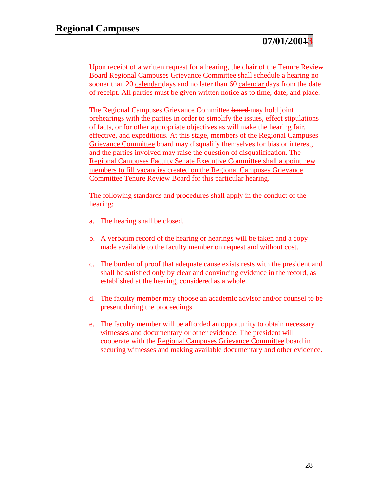Upon receipt of a written request for a hearing, the chair of the <del>Tenure Review</del> Board Regional Campuses Grievance Committee shall schedule a hearing no sooner than 20 calendar days and no later than 60 calendar days from the date of receipt. All parties must be given written notice as to time, date, and place.

The Regional Campuses Grievance Committee board may hold joint prehearings with the parties in order to simplify the issues, effect stipulations of facts, or for other appropriate objectives as will make the hearing fair, effective, and expeditious. At this stage, members of the Regional Campuses Grievance Committee board may disqualify themselves for bias or interest, and the parties involved may raise the question of disqualification. The Regional Campuses Faculty Senate Executive Committee shall appoint new members to fill vacancies created on the Regional Campuses Grievance Committee Tenure Review Board for this particular hearing.

The following standards and procedures shall apply in the conduct of the hearing:

- a. The hearing shall be closed.
- b. A verbatim record of the hearing or hearings will be taken and a copy made available to the faculty member on request and without cost.
- c. The burden of proof that adequate cause exists rests with the president and shall be satisfied only by clear and convincing evidence in the record, as established at the hearing, considered as a whole.
- d. The faculty member may choose an academic advisor and/or counsel to be present during the proceedings.
- e. The faculty member will be afforded an opportunity to obtain necessary witnesses and documentary or other evidence. The president will cooperate with the Regional Campuses Grievance Committee board in securing witnesses and making available documentary and other evidence.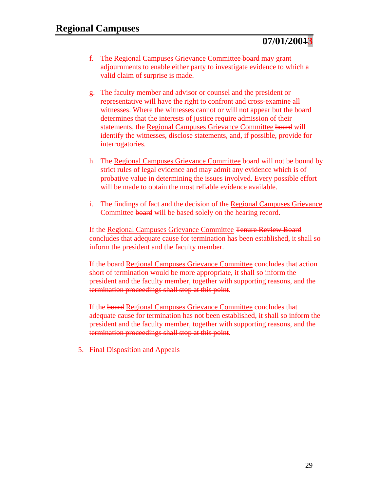- f. The Regional Campuses Grievance Committee board may grant adjournments to enable either party to investigate evidence to which a valid claim of surprise is made.
- g. The faculty member and advisor or counsel and the president or representative will have the right to confront and cross-examine all witnesses. Where the witnesses cannot or will not appear but the board determines that the interests of justice require admission of their statements, the Regional Campuses Grievance Committee board will identify the witnesses, disclose statements, and, if possible, provide for interrogatories.
- h. The Regional Campuses Grievance Committee board will not be bound by strict rules of legal evidence and may admit any evidence which is of probative value in determining the issues involved. Every possible effort will be made to obtain the most reliable evidence available.
- i. The findings of fact and the decision of the Regional Campuses Grievance Committee board will be based solely on the hearing record.

If the Regional Campuses Grievance Committee Tenure Review Board concludes that adequate cause for termination has been established, it shall so inform the president and the faculty member.

If the board Regional Campuses Grievance Committee concludes that action short of termination would be more appropriate, it shall so inform the president and the faculty member, together with supporting reasons, and the termination proceedings shall stop at this point.

If the board Regional Campuses Grievance Committee concludes that adequate cause for termination has not been established, it shall so inform the president and the faculty member, together with supporting reasons, and the termination proceedings shall stop at this point.

5. Final Disposition and Appeals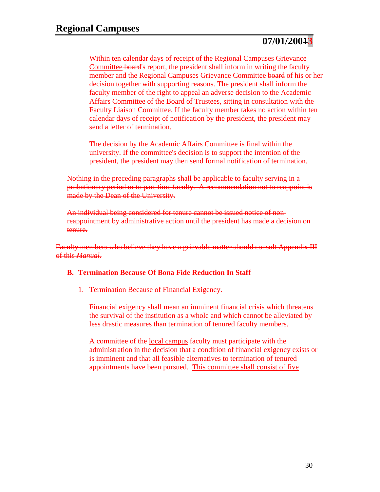Within ten calendar days of receipt of the Regional Campuses Grievance Committee board's report, the president shall inform in writing the faculty member and the Regional Campuses Grievance Committee board of his or her decision together with supporting reasons. The president shall inform the faculty member of the right to appeal an adverse decision to the Academic Affairs Committee of the Board of Trustees, sitting in consultation with the Faculty Liaison Committee. If the faculty member takes no action within ten calendar days of receipt of notification by the president, the president may send a letter of termination.

The decision by the Academic Affairs Committee is final within the university. If the committee's decision is to support the intention of the president, the president may then send formal notification of termination.

Nothing in the preceding paragraphs shall be applicable to faculty serving in a probationary period or to part-time faculty. A recommendation not to reappoint is made by the Dean of the University.

An individual being considered for tenure cannot be issued notice of nonreappointment by administrative action until the president has made a decision on tenure.

Faculty members who believe they have a grievable matter should consult Appendix III of this *Manual*.

## **B. Termination Because Of Bona Fide Reduction In Staff**

1. Termination Because of Financial Exigency.

Financial exigency shall mean an imminent financial crisis which threatens the survival of the institution as a whole and which cannot be alleviated by less drastic measures than termination of tenured faculty members.

A committee of the local campus faculty must participate with the administration in the decision that a condition of financial exigency exists or is imminent and that all feasible alternatives to termination of tenured appointments have been pursued. This committee shall consist of five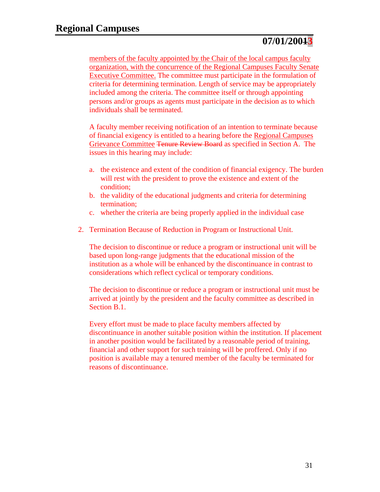members of the faculty appointed by the Chair of the local campus faculty organization, with the concurrence of the Regional Campuses Faculty Senate Executive Committee. The committee must participate in the formulation of criteria for determining termination. Length of service may be appropriately included among the criteria. The committee itself or through appointing persons and/or groups as agents must participate in the decision as to which individuals shall be terminated.

A faculty member receiving notification of an intention to terminate because of financial exigency is entitled to a hearing before the Regional Campuses Grievance Committee Tenure Review Board as specified in Section A. The issues in this hearing may include:

- a. the existence and extent of the condition of financial exigency. The burden will rest with the president to prove the existence and extent of the condition;
- b. the validity of the educational judgments and criteria for determining termination;
- c. whether the criteria are being properly applied in the individual case
- 2. Termination Because of Reduction in Program or Instructional Unit.

The decision to discontinue or reduce a program or instructional unit will be based upon long-range judgments that the educational mission of the institution as a whole will be enhanced by the discontinuance in contrast to considerations which reflect cyclical or temporary conditions.

The decision to discontinue or reduce a program or instructional unit must be arrived at jointly by the president and the faculty committee as described in Section B.1.

Every effort must be made to place faculty members affected by discontinuance in another suitable position within the institution. If placement in another position would be facilitated by a reasonable period of training, financial and other support for such training will be proffered. Only if no position is available may a tenured member of the faculty be terminated for reasons of discontinuance.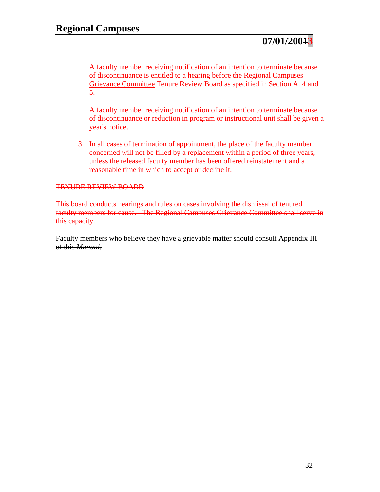A faculty member receiving notification of an intention to terminate because of discontinuance is entitled to a hearing before the Regional Campuses Grievance Committee Tenure Review Board as specified in Section A. 4 and 5.

A faculty member receiving notification of an intention to terminate because of discontinuance or reduction in program or instructional unit shall be given a year's notice.

3. In all cases of termination of appointment, the place of the faculty member concerned will not be filled by a replacement within a period of three years, unless the released faculty member has been offered reinstatement and a reasonable time in which to accept or decline it.

## TENURE REVIEW BOARD

This board conducts hearings and rules on cases involving the dismissal of tenured faculty members for cause. The Regional Campuses Grievance Committee shall serve in this capacity.

Faculty members who believe they have a grievable matter should consult Appendix III of this *Manual.*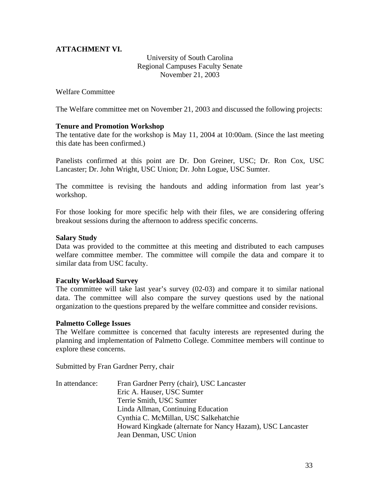# **ATTACHMENT VI.**

University of South Carolina Regional Campuses Faculty Senate November 21, 2003

Welfare Committee

The Welfare committee met on November 21, 2003 and discussed the following projects:

## **Tenure and Promotion Workshop**

The tentative date for the workshop is May 11, 2004 at 10:00am. (Since the last meeting this date has been confirmed.)

Panelists confirmed at this point are Dr. Don Greiner, USC; Dr. Ron Cox, USC Lancaster; Dr. John Wright, USC Union; Dr. John Logue, USC Sumter.

The committee is revising the handouts and adding information from last year's workshop.

For those looking for more specific help with their files, we are considering offering breakout sessions during the afternoon to address specific concerns.

## **Salary Study**

Data was provided to the committee at this meeting and distributed to each campuses welfare committee member. The committee will compile the data and compare it to similar data from USC faculty.

## **Faculty Workload Survey**

The committee will take last year's survey (02-03) and compare it to similar national data. The committee will also compare the survey questions used by the national organization to the questions prepared by the welfare committee and consider revisions.

#### **Palmetto College Issues**

The Welfare committee is concerned that faculty interests are represented during the planning and implementation of Palmetto College. Committee members will continue to explore these concerns.

Submitted by Fran Gardner Perry, chair

In attendance: Fran Gardner Perry (chair), USC Lancaster Eric A. Hauser, USC Sumter Terrie Smith, USC Sumter Linda Allman, Continuing Education Cynthia C. McMillan, USC Salkehatchie Howard Kingkade (alternate for Nancy Hazam), USC Lancaster Jean Denman, USC Union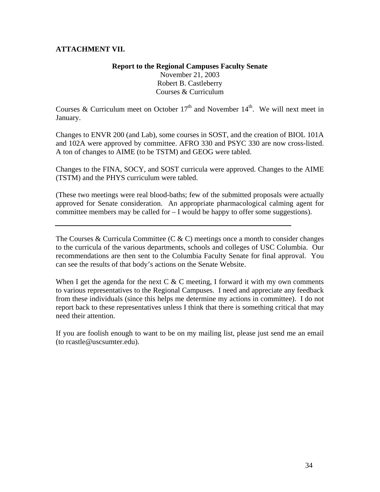# **ATTACHMENT VII.**

# **Report to the Regional Campuses Faculty Senate**  November 21, 2003 Robert B. Castleberry Courses & Curriculum

Courses & Curriculum meet on October  $17<sup>th</sup>$  and November  $14<sup>th</sup>$ . We will next meet in January.

Changes to ENVR 200 (and Lab), some courses in SOST, and the creation of BIOL 101A and 102A were approved by committee. AFRO 330 and PSYC 330 are now cross-listed. A ton of changes to AIME (to be TSTM) and GEOG were tabled.

Changes to the FINA, SOCY, and SOST curricula were approved. Changes to the AIME (TSTM) and the PHYS curriculum were tabled.

(These two meetings were real blood-baths; few of the submitted proposals were actually approved for Senate consideration. An appropriate pharmacological calming agent for committee members may be called for – I would be happy to offer some suggestions).

The Courses & Curricula Committee (C  $\&$  C) meetings once a month to consider changes to the curricula of the various departments, schools and colleges of USC Columbia. Our recommendations are then sent to the Columbia Faculty Senate for final approval. You can see the results of that body's actions on the Senate Website.

When I get the agenda for the next C & C meeting, I forward it with my own comments to various representatives to the Regional Campuses. I need and appreciate any feedback from these individuals (since this helps me determine my actions in committee). I do not report back to these representatives unless I think that there is something critical that may need their attention.

If you are foolish enough to want to be on my mailing list, please just send me an email (to rcastle@uscsumter.edu).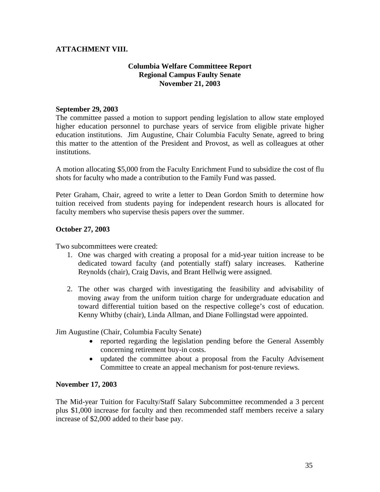# **ATTACHMENT VIII.**

# **Columbia Welfare Committeee Report Regional Campus Faulty Senate November 21, 2003**

## **September 29, 2003**

The committee passed a motion to support pending legislation to allow state employed higher education personnel to purchase years of service from eligible private higher education institutions. Jim Augustine, Chair Columbia Faculty Senate, agreed to bring this matter to the attention of the President and Provost, as well as colleagues at other institutions.

A motion allocating \$5,000 from the Faculty Enrichment Fund to subsidize the cost of flu shots for faculty who made a contribution to the Family Fund was passed.

Peter Graham, Chair, agreed to write a letter to Dean Gordon Smith to determine how tuition received from students paying for independent research hours is allocated for faculty members who supervise thesis papers over the summer.

## **October 27, 2003**

Two subcommittees were created:

- 1. One was charged with creating a proposal for a mid-year tuition increase to be dedicated toward faculty (and potentially staff) salary increases. Katherine Reynolds (chair), Craig Davis, and Brant Hellwig were assigned.
- 2. The other was charged with investigating the feasibility and advisability of moving away from the uniform tuition charge for undergraduate education and toward differential tuition based on the respective college's cost of education. Kenny Whitby (chair), Linda Allman, and Diane Follingstad were appointed.

Jim Augustine (Chair, Columbia Faculty Senate)

- reported regarding the legislation pending before the General Assembly concerning retirement buy-in costs.
- updated the committee about a proposal from the Faculty Advisement Committee to create an appeal mechanism for post-tenure reviews.

#### **November 17, 2003**

The Mid-year Tuition for Faculty/Staff Salary Subcommittee recommended a 3 percent plus \$1,000 increase for faculty and then recommended staff members receive a salary increase of \$2,000 added to their base pay.